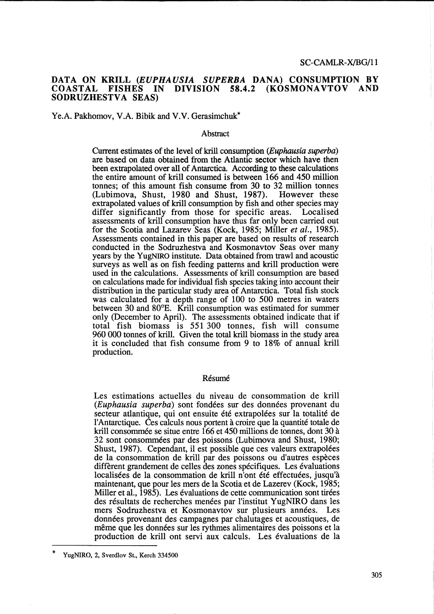### DATA ON KRILL *(EUPHAUSIA SUPERBA* DANA) CONSUMPTION BY DIVISION 58.4.2 (KOSMONAVTOV AND SODRUZHESTVA SEAS)

### Ye.A. Pakhomov, V.A. Bibik and V.V. Gerasimchuk\*

#### Abstract

Current estimates of the level of krill consumption (Euphausia superba) are based on data obtained from the Atlantic sector which have then been extrapolated over all of Antarctica. According to these calculations the entire amount of kriU consumed is between 166 and 450 million tonnes; of this amount fish consume from 30 to 32 million tonnes (Lubimova, Shust, 1980 and Shust, 1987). However these extrapolated values of krill consumption by fish and other species may differ significantly from those for specific areas. Localised differ significantly from those for specific areas. assessments of kriU consumption have thus far only been carried out for the Scotia and Lazarev Seas (Kock, 1985; Miller *et al., 1985).*  Assessments contained in this paper are based on results of research conducted in the Sodruzhestva and Kosmonavtov Seas over many years by the YugNIRO institute. Data obtained from trawl and acoustic surveys as well as on fish feeding patterns and krill production were used in the calculations. Assessments of krill consumption are based on calculations made for individual fish species taking into account their distribution in the particular study area of Antarctica. Total fish stock was calculated for a depth range of 100 to 500 metres in waters between 30 and 80°B. Krill consumption was estimated for summer only (December to April). The assessments obtained indicate that if total fish biomass is 551 300 tonnes, fish will consume 960 000 tonnes of kriU. Given the total krill biomass in the study area it is concluded that fish consume from 9 to 18% of annual kriU production.

#### Résumé

Les estimations actuelles du niveau de consommation de krill (Euphausia superba) sont fondées sur des données provenant du secteur atlantique, qui ont ensuite été extrapolées sur la totalité de l'Antarctique. Ces calculs nous portent a croire que la quantite totale de krill consommée se situe entre 166 et 450 millions de tonnes, dont 30 à 32 sont consommees par des poissons (Lubimova and Shust, 1980; Shust, 1987). Cependant, i1 est possible que ces valeurs extrapolees de la consommation de krill par des poissons ou d'autres especes diffèrent grandement de celles des zones spécifiques. Les évaluations localisées de la consommation de krill n'ont été effectuées, jusqu'à maintenant, que pour les mers de la Scotia et de Lazerev (Kock, 1985; Miller et al., 1985). Les évaluations de cette communication sont tirées des résultats de recherches menées par l'institut YugNIRO dans les mers Sodruzhestva et Kosmonavtov sur plusieurs annees. Les données provenant des campagnes par chalutages et acoustiques, de même que les données sur les rythmes alimentaires des poissons et la production de krill ont servi aux calculs. Les evaluations de la

<sup>\*</sup>  YugNIRO, 2, Sverdlov St., Kerch 334500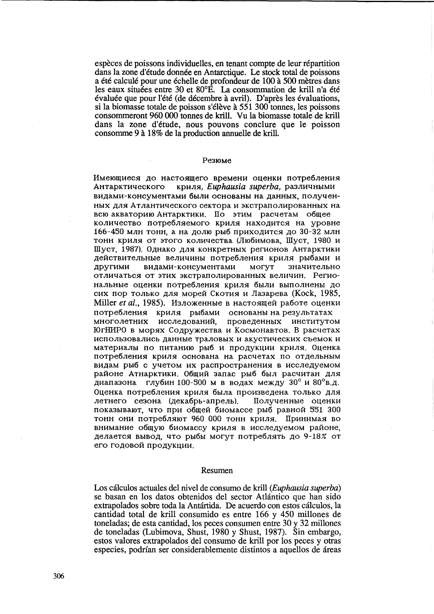espèces de poissons individuelles, en tenant compte de leur répartition dans la zone d'étude donnée en Antarctique. Le stock total de poissons a été calculé pour une échelle de profondeur de 100 à 500 mètres dans les eaux situées entre 30 et 80°E. La consommation de krill n'a été évaluée que pour l'été (de décembre à avril). D'après les évaluations, si la biomasse totale de poisson s'élève à 551 300 tonnes, les poissons consommeront 960 000 tonnes de krill. Vu la biomasse totale de krill dans la zone d'etude, nous pouvons conclure que le poisson consomme 9 à 18% de la production annuelle de krill.

#### Pe3lOMe

Имеющиеся до настоящего времени оценки потребления Антарктического криля, Euphausia superba, различными видами-консументами были основаны на данных, полученных для Атлантического сектора и экстраполированных на всю акваторию Антарктики. По этим расчетам общее количество потребляемого криля находится на уровне 166-450 млн тонн, а на долю рыб приходится до 30-32 млн тонн криля от этого количества (Любимова, Шуст, 1980 и Шуст, 1987). Однако для конкретных регионов Антарктики действительные величины потребления криля рыбами и другими видами-консументами могут значительно отличаться от этих экстраполированных величин. Региональные оценки потребления криля были выполнены до сих пор только для морей Скотия и Лазарева (Kock, 1985, Miller *et al.*, 1985). Изложенные в настоящей работе оценки потребления криля рыбами основаны на результатах многолетних исследований, проведенных институтом ЮгНИРО в морях Содружества и Космонавтов. В расчетах использовались данные траловых и акустических съемок и материалы по питанию рыб и продукции криля. Оценка потребления криля основана на расчетах по отдельным видам рыб с учетом их распространения в исследуемом районе Атнарктики. Общий запас рыб был расчитан для диапазона глубин 100-500 м в водах между 30° и 80°в.д. Оценка потребления криля была произведена только для летнего сезона (декабрь-апрель). Полученные оценки показывают, что при общей биомассе рыб равной 551 300 тонн они потребляют 960 000 тонн криля. Принимая во внимание общую биомассу криля в исследуемом районе, делается вывод, что рыбы могут потреблять до 9-18% от его годовой продукции.

#### Resumen

Los cálculos actuales del nivel de consumo de krill (*Euphausia superba*) se basan en los datos obtenidos del sector Atlantico que han sido extrapolados sobre toda la Antartida. De acuerdo con estos ca1culos, la cantidad total de krill consumido es entre 166 y 450 millones de toneladas; de esta cantidad, 10s peces consumen entre 30 y 32 millones de toneladas (Lubimova, Shust, 1980 y Shust, 1987). Sin embargo, estos valores extrapolados del consumo de kriU por los peces y otras especies, podrían ser considerablemente distintos a aquellos de áreas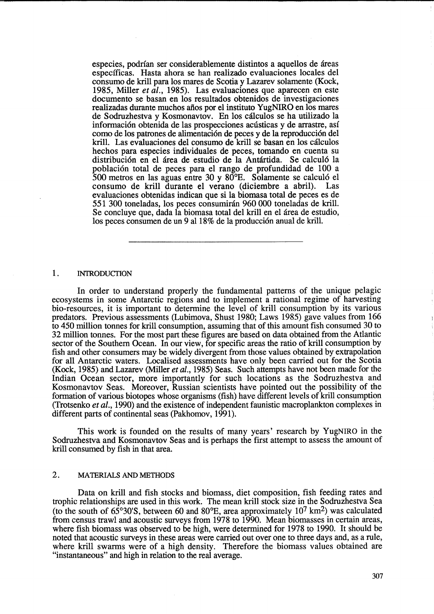especies, podrían ser considerablemente distintos a aquellos de áreas especfficas. Hasta ahora se han realizado evaluaciones locales del consumo de kriH para los mares de Scotia y Lazarev solamente (Kock, 1985, Miller *et al.,* 1985). Las evaluaciones que aparecen en este documento se basan en los resultados obtenidos de investigaciones realizadas durante muchos afios por el instituto YugNIRO en los mares de Sodruzhestva y Kosmonavtov. En los cálculos se ha utilizado la información obtenida de las prospecciones acústicas y de arrastre, así como de los patrones de alimentación de peces y de la reproducción del krill. Las evaluaciones del consumo de krill se basan en los cálculos hechos para especies individuales de peces, tomando en cuenta su distribución en el área de estudio de la Antártida. Se calculó la población total de peces para el rango de profundidad de 100 a 500 metros en las aguas entre 30 y 80°B. Solamente se calcul6 el consumo de krill durante el verano (diciembre a abril). Las evaluaciones obtenidas indican que si la biomasa total de peces es de 551 300 toneladas, los peces consumirán 960 000 toneladas de krill. Se concluye que, dada la biomasa total del krill en el área de estudio, los peces consumen de un 9 al 18% de la producción anual de krill.

#### 1. INTRODUCTION

In order to understand properly the fundamental patterns of the unique pelagic ecosystems in some Antarctic regions and to implement a rational regime of harvesting bio-resources, it is important to determine the level of krill consumption by its various predators. Previous assessments (Lubimova, Shust 1980; Laws 1985) gave values from 166 to 450 million tonnes for krill consumption, assuming that of this amount fish consumed 30 to 32 million tonnes. For the most part these figures are based on data obtained from the Atlantic sector of the Southern Ocean. In our view, for specific areas the ratio of krill consumption by fish and other consumers may be widely divergent from those values obtained by extrapolation for all Antarctic waters. Localised assessments have only been carried out for the Scotia (Kock, 1985) and Lazarev (Miller *et al.,* 1985) Seas. Such attempts have not been made for the Indian Ocean sector, more importantly for such locations as the Sodruzhestva and Kosmonavtov Seas. Moreover, Russian scientists have pointed out the possibility of the formation of various biotopes whose organisms (fish) have different levels of krill consumption (Trotsenko *et al.,* 1990) and the existence of independent faunistic macroplankton complexes in different parts of continental seas (Pakhomov, 1991).

This work is founded on the results of many years' research by YugNIRO in the Sodruzhestva and Kosmonavtov Seas and is perhaps the first attempt to assess the amount of krill consumed by fish in that area.

# 2. MATERIALS AND METHODS

Data on krill and fish stocks and biomass, diet composition, fish feeding rates and trophic relationships are used in this work. The mean krill stock size in the Sodruzhestva Sea (to the south of  $65^{\circ}30^{\circ}$ S, between 60 and 80 $^{\circ}$ E, area approximately 10<sup>7</sup> km<sup>2</sup>) was calculated from census trawl and acoustic surveys from 1978 to 1990. Mean biomasses in certain areas, where fish biomass was observed to be high, were determined for 1978 to 1990. It should be noted that acoustic surveys in these areas were carried out over one to three days and, as a rule, where krill swarms were of a high density. Therefore the biomass values obtained are "instantaneous" and high in relation to the real average.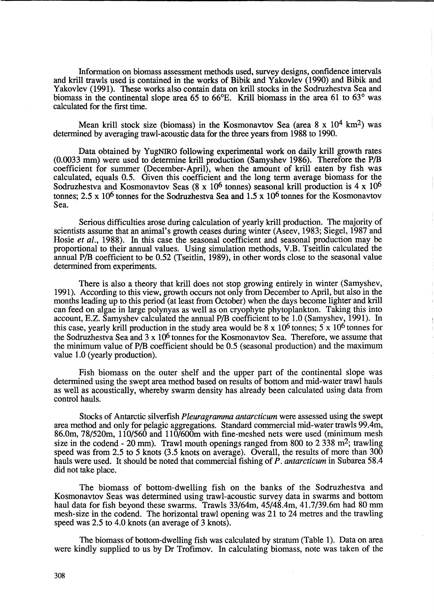Information on biomass assessment methods used, survey designs, confidence intervals and krill trawls used is contained in the works of Bibik and Yakovlev (1990) and Bibik and Yakovlev (1991). These works also contain data on krill stocks in the Sodruzhestva Sea and biomass in the continental slope area 65 to 66°E. KriU biomass in the area 61 to 63° was calculated for the first time.

Mean krill stock size (biomass) in the Kosmonavtov Sea (area  $8 \times 10^4$  km<sup>2</sup>) was determined by averaging trawl-acoustic data for the three years from 1988 to 1990.

Data obtained by YugNIRO following experimental work on daily krill growth rates (0.0033 mm) were used to determine kriU production (Samyshev 1986). Therefore the *PIB*  coefficient for summer (December-April), when the amount of krill eaten by fish was calculated, equals 0.5. Given this coefficient and the long term average biomass for the Sodruzhestva and Kosmonavtov Seas (8 x  $10^6$  tonnes) seasonal krill production is 4 x  $10^6$ tonnes;  $2.5 \times 10^6$  tonnes for the Sodruzhestva Sea and  $1.5 \times 10^6$  tonnes for the Kosmonavtov Sea.

Serious difficulties arose during calculation of yearly krill production. The majority of scientists assume that an animal's growth ceases during winter (Aseev, 1983; Siegel, 1987 and Hosie *et al.*, 1988). In this case the seasonal coefficient and seasonal production may be proportional to their annual values. Using simulation methods, V.B. Tseitlin calculated the annual *PIB* coefficient to be 0.52 (Tseitlin, 1989), in other words close to the seasonal value determined from experiments.

There is also a theory that krill does not stop growing entirely in winter (Samyshev, 1991). According to this view, growth occurs not only from December to April, but also in the months leading up to this period (at least from October) when the days become lighter and krill can feed on algae in large polynyas as well as on cryophyte phytoplankton. Taking this into account, E.Z. Samyshev calculated the annual *PIB* coefficient to be 1.0 (Samyshev, 1991). In this case, yearly krill production in the study area would be  $8 \times 10^6$  tonnes;  $5 \times 10^6$  tonnes for the Sodruzhestva Sea and 3 x 106 tonnes for the Kosmonavtov Sea. Therefore, we assume that the minimum value of *PIB* coefficient should be 0.5 (seasonal production) and the maximum value 1.0 (yearly production).

Fish biomass on the outer shelf and the upper part of the continental slope was determined using the swept area method based on results of bottom and mid-water trawl hauls as well as acoustically, whereby swarm density has already been calculated using data from control hauls.

Stocks of Antarctic silverfish *Pleuragramma antarcticum* were assessed using the swept area method and only for pelagic aggregations. Standard commercial mid-water trawls 99.4m, 86.0m, 78/520m, 110/560 and 11O/600m with fine-meshed nets were used (minimum mesh size in the codend - 20 mm). Trawl mouth openings ranged from 800 to 2 338 m<sup>2</sup>; trawling speed was from 2.5 to 5 knots (3.5 knots on average). Overall, the results of more than 300 hauls were used. It should be noted that commercial fishing of *P. antarcticum* in Subarea 58.4 did not take place.

The biomass of bottom-dwelling fish on the banks of the Sodruzhestva and Kosmonavtov Seas was determined using trawl-acoustic survey data in swarms and bottom haul data for fish beyond these swarms. Trawls 33/64m, 45/48.4m, 41.7/39.6m had 80 mm mesh-size in the codend. The horizontal trawl opening was 21 to 24 metres and the trawling speed was 2.5 to 4.0 knots (an average of 3 knots).

The biomass of bottom-dwelling fish was calculated by stratum (Table 1). Data on area were kindly supplied to us by Dr Trofimov. In calculating biomass, note was taken of the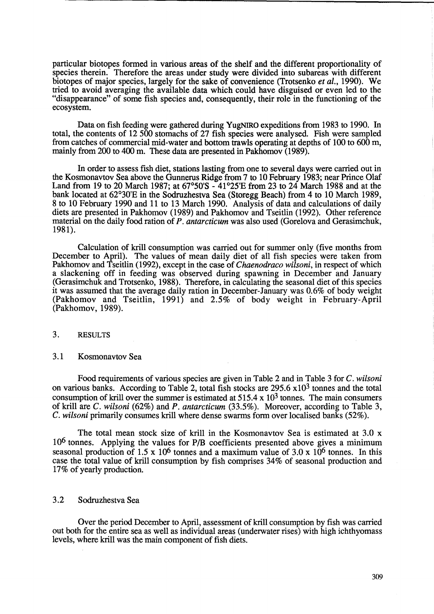particular biotopes formed in various areas of the shelf and the different proportionality of species therein. Therefore the areas under study were divided into subareas with different biotopes of major species, largely for the sake of convenience (Trotsenko *et al.,* 1990). We tried to avoid averaging the available data which could have disguised or even led to the "disappearance" of some fish species and, consequently, their role in the functioning of the ecosystem.

Data on fish feeding were gathered during YugNIRO expeditions from 1983 to 1990. In total, the contents of 12 500 stomachs of 27 fish species were analysed. Fish were sampled from catches of commercial mid-water and bottom trawls operating at depths of 100 to 600 m, mainly from 200 to 400 m. These data are presented in Pakhomov (1989).

In order to assess fish diet, stations lasting from one to several days were carried out in the Kosmonavtov Sea above the Gunnerus Ridge from 7 to 10 February 1983; near Prince Olaf Land from 19 to 20 March 1987; at 67°50'S - 41°25'E from 23 to 24 March 1988 and at the bank located at 62°30'E in the Sodruzhestva Sea (Storegg Beach) from 4 to 10 March 1989, 8 to 10 February 1990 and 11 to l3 March 1990. Analysis of data and calculations of daily diets are presented in Pakhomov (1989) and Pakhomov and Tseitlin (1992). Other reference material on the daily food ration of *P. antarcticum* was also used (Gorelova and Gerasimchuk, 1981).

Calculation of krill consumption was carried out for summer only (five months from December to April). The values of mean daily diet of all fish species were taken from Pakhomov and Tseitlin (1992), except in the case of *Chaenodraco wilsoni*, in respect of which a slackening off in feeding was observed during spawning in December and January (Gerasimchuk and Trotsenko, 1988). Therefore, in calculating the seasonal diet of this species it was assumed that the average daily ration in December-January was 0.6% of body weight (Pakhomov and Tseitlin, 1991) and 2.5% of body weight in February-April (Pakhomov, 1989).

## 3. RESULTS

## 3.1 Kosmonavtov Sea

Food requirements of various species are given in Table 2 and in Table 3 for C. *wilsoni*  on various banks. According to Table 2, total fish stocks are 295.6 x103 tonnes and the total consumption of krill over the summer is estimated at  $515.4 \times 10^3$  tonnes. The main consumers of krill are C. *wilsoni* (62%) and *P. antarcticum* (33.5%). Moreover, according to Table 3, C. *wilsoni* primarily consumes kriU where dense swarms form over localised banks (52%).

The total mean stock size of krill in the Kosmonavtov Sea is estimated at 3.0 x 106 tonnes. Applying the values for PIB coefficients presented above gives a minimum seasonal production of 1.5 x 10<sup>6</sup> tonnes and a maximum value of 3.0 x 10<sup>6</sup> tonnes. In this case the total value of krill consumption by fish comprises 34% of seasonal production and 17% of yearly production.

## 3.2 Sodruzhestva Sea

Over the period December to April, assessment of kriU consumption by fish was carried out both for the entire sea as well as individual areas (underwater rises) with high ichthyomass levels, where krill was the main component of fish diets.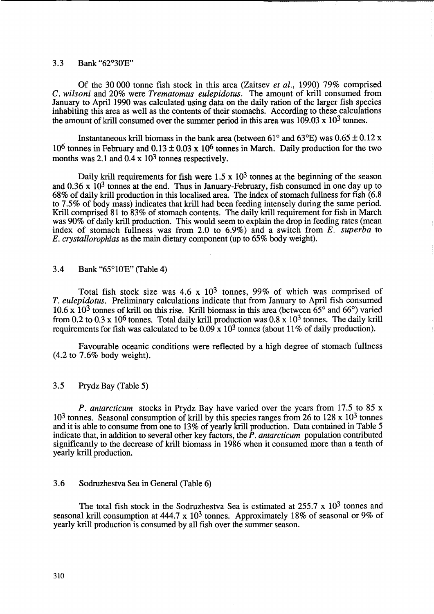## 3.3 Bank "62°30'E"

Of the 30000 tonne fish stock in this area (Zaitsev *et al.,* 1990) 79% comprised C. *wilsoni* and 20% were *Trematomus eulepidotus.* The amount of krill consumed from January to April 1990 was calculated using data on the daily ration of the larger fish species inhabiting this area as well as the contents of their stomachs. According to these calculations the amount of krill consumed over the summer period in this area was  $109.03 \times 10^3$  tonnes.

Instantaneous krill biomass in the bank area (between 61 $\degree$  and 63 $\degree$ E) was 0.65  $\pm$  0.12 x 10<sup>6</sup> tonnes in February and  $0.13 \pm 0.03 \times 10^6$  tonnes in March. Daily production for the two months was 2.1 and  $0.4 \times 10^3$  tonnes respectively.

Daily krill requirements for fish were  $1.5 \times 10^3$  tonnes at the beginning of the season and  $0.36 \times 10^3$  tonnes at the end. Thus in January-February, fish consumed in one day up to 68% of daily krill production in this localised area. The index of stomach fullness for fish (6.8 to 7.5% of body mass) indicates that krill had been feeding intensely during the same period. Krill comprised 81 to 83% of stomach contents. The daily krill requirement for fish in March was 90% of daily krill production. This would seem to explain the drop in feeding rates (mean index of stomach fullness was from 2.0 to 6.9%) and a switch from *E. superba* to *E. crystallorophias* as the main dietary component (up to 65% body weight).

## 3.4 Bank "65°10'E" (Table 4)

Total fish stock size was  $4.6 \times 10^3$  tonnes, 99% of which was comprised of *T. eulepidotus.* Preliminary calculations indicate that from January to April fish consumed  $10.6 \times 10^3$  tonnes of krill on this rise. Krill biomass in this area (between  $65^\circ$  and  $66^\circ$ ) varied from 0.2 to 0.3 x 10<sup>6</sup> tonnes. Total daily krill production was  $0.8 \times 10^3$  tonnes. The daily krill requirements for fish was calculated to be  $0.09 \times 10^3$  tonnes (about 11% of daily production).

Favourable oceanic conditions were reflected by a high degree of stomach fullness (4.2 to 7.6% body weight).

### 3.5 Prydz Bay (Table 5)

*P. antarcticum* stocks in Prydz Bay have varied over the years from 17.5 to 85 x  $10<sup>3</sup>$  tonnes. Seasonal consumption of krill by this species ranges from 26 to 128 x 10<sup>3</sup> tonnes and it is able to consume from one to 13% of yearly krill production. Data contained in Table 5 indicate that, in addition to several other key factors, the *P. antarcticum* population contributed significantly to the decrease of krill biomass in 1986 when it consumed more than a tenth of yearly krill production.

# 3.6 Sodruzhestva Sea in General (Table 6)

The total fish stock in the Sodruzhestva Sea is estimated at 255.7 x 10<sup>3</sup> tonnes and seasonal krill consumption at  $444.7 \times 10^3$  tonnes. Approximately 18% of seasonal or 9% of yearly krill production is consumed by all fish over the summer season.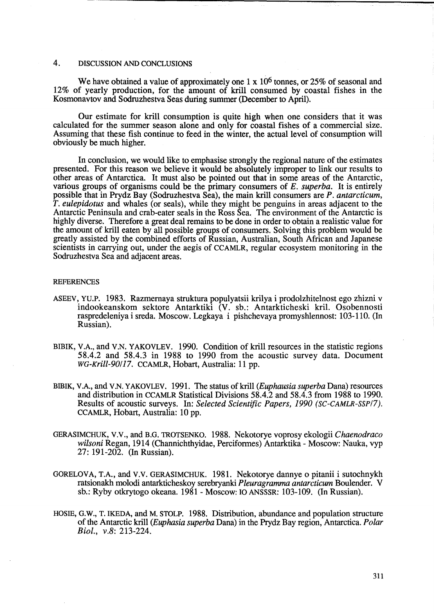### 4. DISCUSSION AND CONCLUSIONS

We have obtained a value of approximately one 1 x 10<sup>6</sup> tonnes, or 25% of seasonal and 12% of yearly production, for the amount of krill consumed by coastal fishes in the Kosmonavtov and Sodruzhestva Seas during summer (December to April).

Our estimate for krill consumption is quite high when one considers that it was calculated for the summer season alone and only for coastal fishes of a commercial size. Assuming that these fish continue to feed in the winter, the actual level of consumption will obviously be much higher.

In conclusion, we would like to emphasise strongly the regional nature of the estimates presented. For this reason we believe it would be absolutely improper to link our results to other areas of Antarctica. It must also be pointed out that in some areas of the Antarctic, various groups of organisms could be the primary consumers of *E. superba.* It is entirely possible that in Prydz Bay (Sodruzhestva Sea), the main kriU consumers are *P. antarcticum, T. eulepidotus* and whales (or seals), while they might be penguins in areas adjacent to the Antarctic Peninsula and crab-eater seals in the Ross Sea. The environment of the Antarctic is highly diverse. Therefore a great deal remains to be done in order to obtain a realistic value for the amount of kriU eaten by aU possible groups of consumers. Solving this problem would be greatly assisted by the combined efforts of Russian, Australian, South African and Japanese scientists in carrying out, under the aegis of CCAMLR, regular ecosystem monitoring in the Sodruzhestva Sea and adjacent areas.

#### REFERENCES

- ASEEV, YU.P. 1983. Razmernaya struktura populyatsii krilya i prodolzhitelnost ego zhizni v indookeanskom sektore Antarktiki (V. sb.: Antarkticheski kril. Osobennosti raspredeleniya i sreda. Moscow. Legkaya i pishchevaya promyshlennost: 103-110. (In Russian).
- BIBIK, V.A., and V.N. YAKOVLEV. 1990. Condition of krill resources in the statistic regions 58.4.2 and 58.4.3 in 1988 to 1990 from the acoustic survey data. Document *WG-Krill-90!17.* CCAMLR, Hobart, Australia: 11 pp.
- BIBIK, V.A., and V.N. YAKOVLEV. 1991. The status of krill *(Euphausia superba Dana)* resources and distribution in CCAMLR Statistical Divisions 58.4.2 and 58.4.3 from 1988 to 1990. Results of acoustic surveys. In: *Selected Scientific Papers, 1990 (SC-CAMLR-SSPI7).*  CCAMLR, Hobart, Australia: 10 pp.
- GERASIMCHUK, V.V., and B.G. TROTSENKO. 1988. Nekotorye voprosy ekologii *Chaenodraco wilsoni* Regan, 1914 (Channichthyidae, Perciformes) Antarktika - Moscow: Nauka, vyp 27: 191-202. (In Russian).
- GORELOVA, T.A., and V.V. GERASIMCHUK. 1981. Nekotorye dannye 0 pitanii i sutochnykh ratsionakh molodi antarkticheskoy serebryanki *Pleuragramma antarcticum* Boulender. V sb.: Ryby otkrytogo okeana. 1981 - Moscow: 10 ANSSSR: 103-109. (In Russian).
- HOSIE, G.W., T. lKEDA, and M. STOLP. 1988. Distribution, abundance and population structure of the Antarctic krill *(Euphasia superba* Dana) in the Prydz Bay region, Antarctica. *Polar BioI., v.S: 213-224.*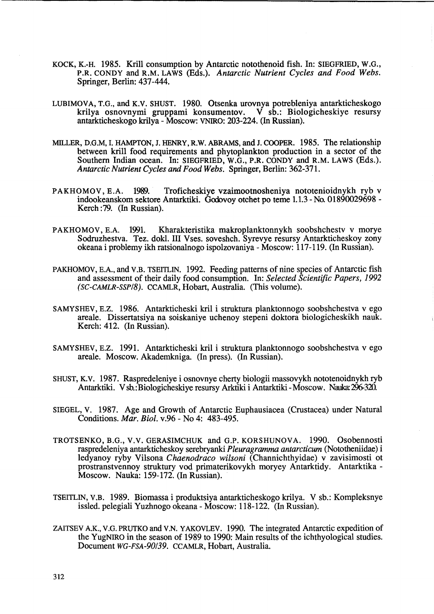- KOCK, K.-H. 1985. Krill consumption by Antarctic notothenoid fish. In: SIEGFRIED, W.G., P.R. CONDY and R.M. LAWS (Eds.). *Antarctic Nutrient Cycles and Food Webs.*  Springer, Berlin: 437-444.
- LUBIMOVA, T.G., and K.V. SHUST. 1980. Otsenka urovnya potrebleniya antarkticheskogo krilya osnovnymi gruppami konsumentov. V sb.: Biologicheskiye resursy antarkticheskogo krilya - Moscow: VNIRO: 203-224. (In Russian).
- MILLER, D.G.M, I. HAMPTON, J. HENRY, R.W. ABRAMS, and J. COOPER. 1985. The relationship between krill food requirements and phytoplankton production in a sector of the Southern Indian ocean. In: SIEGFRIED, W.G., P.R. CONDY and R.M. LAWS (Eds.). *Antarctic Nutrient Cycles and Food Webs.* Springer, Berlin: 362-371.
- PAKHOMOV, B.A. 1989. Troficheskiye vzaimootnosheniya nototenioidnykh ryb v indookeanskom sektore Antarktiki. Godovoy otchet po teme 1.1.3 - No. 01890029698 - Kerch :79. (In Russian).
- PAKHOMOV, E.A. 1991. Kharakteristika makroplanktonnykh soobshchestv v morye Sodruzhestva. Tez. dokl. III V ses. soveshch. Syrevye resursy Antarkticheskoy zony okeana i problemy ikh ratsionalnogo ispolzovaniya - Moscow: 117-119. (In Russian).
- PAKHOMOV, E.A., and V.B. TSEITLIN. 1992. Feeding patterns of nine species of Antarctic fish and assessment of their daily food consumption. In: *Selected Scientific Papers, 1992 (SC-CAMLR-SSP/S).* CCAMLR, Hobart, Australia. (This volume).
- SAMYSHEV, E.Z. 1986. Antarkticheski kril i struktura planktonnogo soobshchestva v ego areale. Dissertatsiya na soiskaniye uchenoy stepeni doktora biologicheskikh nauk. Kerch: 412. (In Russian).
- SAMYSHEV, E.Z. 1991. Antarkticheski kril i struktura planktonnogo soobshchestva v ego areale. Moscow. Akademkniga. (In press). (In Russian).
- SHUST, K.V. 1987. Raspredeleniye i osnovnye cherty biologii massovykh nototenoidnykh ryb Antarktiki. V sb.: Biologicheskiye resursy Arktiki i Antarktiki -Moscow. Nauka: 296-320.
- SIEGEL, v. 1987. Age and Growth of Antarctic Euphausiacea (Crustacea) under Natural Conditions. *Mar. Bioi.* v.96 - No 4: 483-495.
- TROTSENKO, B.G., V.V. GERASIMCHUK and G.P. KORSHUNOVA. 1990. Osobennosti raspredeleniya antarkticheskoy serebryanki *P leuragramma antarcticum* (Nototheniidae) i ledyanoy ryby Vilsona *Chaenodraco wilsoni* (Channichthyidae) v zavisimosti ot prostranstvennoy struktury vod primaterikovykh moryey Antarktidy. Antarktika-Moscow. Nauka: 159-172. (In Russian).
- TSEITLIN, V.B. 1989. Biomassa i produktsiya antarkticheskogo krilya. V sb.: Kompleksnye issled. pelegiali Yuzhnogo okeana - Moscow: 118-122. (In Russian).
- ZAITSEV A.K., V.G. PRUTKO and V.N. Y AKOVLEV. 1990. The integrated Antarctic expedition of the YugNIRO in the season of 1989 to 1990: Main results of the ichthyological studies. Document *WG-FSA-90/39.* CCAMLR, Hobart, Australia.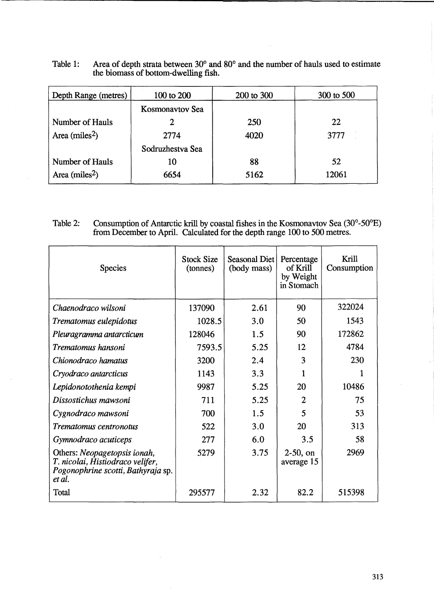| Table 1: | Area of depth strata between 30° and 80° and the number of hauls used to estimate |
|----------|-----------------------------------------------------------------------------------|
|          | the biomass of bottom-dwelling fish.                                              |

| Depth Range (metres)       | 100 to 200       | 200 to 300 | 300 to 500 |  |
|----------------------------|------------------|------------|------------|--|
|                            | Kosmonavtov Sea  |            |            |  |
| Number of Hauls            | 2                | 250        | 22         |  |
| Area (miles <sup>2</sup> ) | 2774             | 4020       | 3777       |  |
|                            | Sodruzhestva Sea |            |            |  |
| Number of Hauls            | 10               | 88         | 52         |  |
| Area (miles <sup>2</sup> ) | 6654             | 5162       | 12061      |  |

## Table 2: Consumption of Antarctic krill by coastal fishes in the Kosmonavtov Sea  $(30^{\circ}$ -50 $^{\circ}$ E) from December to April. Calculated for the depth range 100 to 500 metres.

| <b>Species</b>                                                                                                   | <b>Stock Size</b><br>(tonnes) | Seasonal Diet<br>(body mass) | Percentage<br>of Krill<br>by Weight<br>in Stomach | Krill<br>Consumption |
|------------------------------------------------------------------------------------------------------------------|-------------------------------|------------------------------|---------------------------------------------------|----------------------|
| Chaenodraco wilsoni                                                                                              | 137090                        | 2.61                         | 90                                                | 322024               |
| Trematomus eulepidotus                                                                                           | 1028.5                        | 3.0                          | 50                                                | 1543                 |
| Pleuragramma antarcticum                                                                                         | 128046                        | 1.5                          | 90                                                | 172862               |
| Trematomus hansoni                                                                                               | 7593.5                        | 5.25                         | 12                                                | 4784                 |
| Chionodraco hamatus                                                                                              | 3200                          | 2.4                          | 3                                                 | 230                  |
| Cryodraco antarcticus                                                                                            | 1143                          | 3.3                          |                                                   |                      |
| Lepidonotothenia kempi                                                                                           | 9987                          | 5.25                         | 20                                                | 10486                |
| Dissostichus mawsoni                                                                                             | 711                           | 5.25                         | 2                                                 | 75                   |
| Cygnodraco mawsoni                                                                                               | 700                           | 1.5                          | 5                                                 | 53                   |
| Trematomus centronotus                                                                                           | 522                           | 3.0                          | 20                                                | 313                  |
| Gymnodraco acuticeps                                                                                             | 277                           | 6.0                          | 3.5                                               | 58                   |
| Others: Neopagetopsis ionah,<br>T. nicolai, Histiodraco velifer,<br>Pogonophrine scotti, Bathyraja sp.<br>et al. | 5279                          | 3.75                         | $2-50$ , on<br>average 15                         | 2969                 |
| Total                                                                                                            | 295577                        | 2.32                         | 82.2                                              | 515398               |

 $\bar{\mathcal{A}}$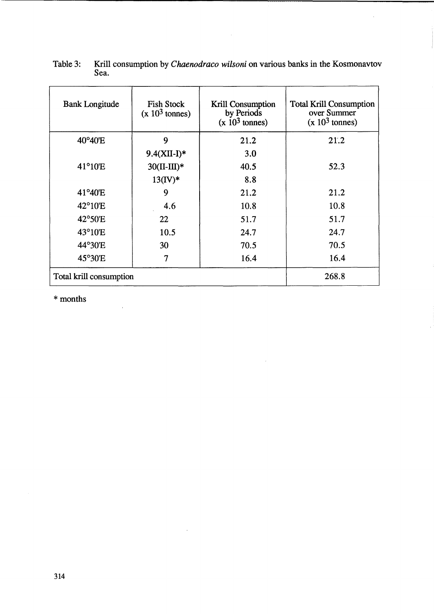| <b>Bank Longitude</b>   | <b>Fish Stock</b><br>$(x 103$ tonnes) | Krill Consumption<br>by Periods<br>$(x 103$ tonnes) | <b>Total Krill Consumption</b><br>over Summer<br>$(x 103$ tonnes) |
|-------------------------|---------------------------------------|-----------------------------------------------------|-------------------------------------------------------------------|
| 40°40'E                 | 9                                     | 21.2                                                | 21.2                                                              |
|                         | $9.4(XII-I)^*$                        | 3.0                                                 |                                                                   |
| 41°10'E                 | $30(II-III)*$                         | 40.5                                                | 52.3                                                              |
|                         | $13(IV)*$                             | 8.8                                                 |                                                                   |
| 41°40'E                 | 9                                     | 21.2                                                | 21.2                                                              |
| $42^{\circ}10'E$        | 4.6                                   | 10.8                                                | 10.8                                                              |
| 42°50'E.                | 22                                    | 51.7                                                | 51.7                                                              |
| $43^{\circ}10'E$        | 10.5                                  | 24.7                                                | 24.7                                                              |
| 44°30'E                 | 30                                    | 70.5                                                | 70.5                                                              |
| 45°30'E                 | 7                                     | 16.4                                                | 16.4                                                              |
| Total krill consumption | 268.8                                 |                                                     |                                                                   |

 $\sim$   $\sim$ 

 $\mathcal{L}_{\mathcal{A}}$ 

| Table 3: Krill consumption by <i>Chaenodraco wilsoni</i> on various banks in the Kosmonavtov |
|----------------------------------------------------------------------------------------------|
| Sea.                                                                                         |

 $\hat{\mathcal{A}}$ 

 $\bar{\mathcal{A}}$ 

\* months

 $\frac{1}{2}$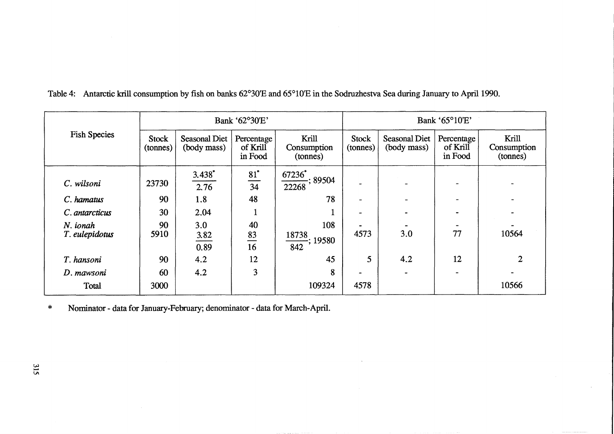|                            | Bank '62°30'E'           |                              |                                   |                                         | Bank '65°10'E'    |                              |                                   |                                  |
|----------------------------|--------------------------|------------------------------|-----------------------------------|-----------------------------------------|-------------------|------------------------------|-----------------------------------|----------------------------------|
| <b>Fish Species</b>        | <b>Stock</b><br>(tonnes) | Seasonal Diet<br>(body mass) | Percentage<br>of Krill<br>in Food | Krill<br>Consumption<br>(tonnes)        | Stock<br>(tonnes) | Seasonal Diet<br>(body mass) | Percentage<br>of Krill<br>in Food | Krill<br>Consumption<br>(tonnes) |
| C. wilsoni                 | 23730                    | $3.438*$<br>2.76             | $81^*$<br>$\frac{1}{34}$          | $\frac{67236^*}{22268}$ ; 89504         |                   |                              | $\overline{\phantom{0}}$          |                                  |
| C. hamatus                 | 90                       | 1.8                          | 48                                | 78                                      |                   |                              |                                   |                                  |
| C. antarcticus             | 30                       | 2.04                         |                                   |                                         |                   |                              |                                   |                                  |
| N. ionah<br>T. eulepidotus | 90<br>5910               | 3.0<br>3.82<br>0.89          | 40<br>83<br>16                    | 108<br>18738<br>$\frac{1}{842}$ ; 19580 | 4573              | 3.0                          | 77                                | 10564                            |
| T. hansoni                 | 90                       | 4.2                          | 12                                | 45                                      | 5 <sup>5</sup>    | 4.2                          | 12                                | $\mathbf{2}$                     |
| D. mawsoni                 | 60                       | 4.2                          | 3                                 | 8                                       |                   |                              | $\blacksquare$                    |                                  |
| Total                      | 3000                     |                              |                                   | 109324                                  | 4578              |                              |                                   | 10566                            |

Table 4: Antarctic krill consumption by fish on banks 62°30'E and 65°10'E in the Sodruzhestva Sea during January to April 1990.

\* Nominator - data for January-February; denominator - data for March-April.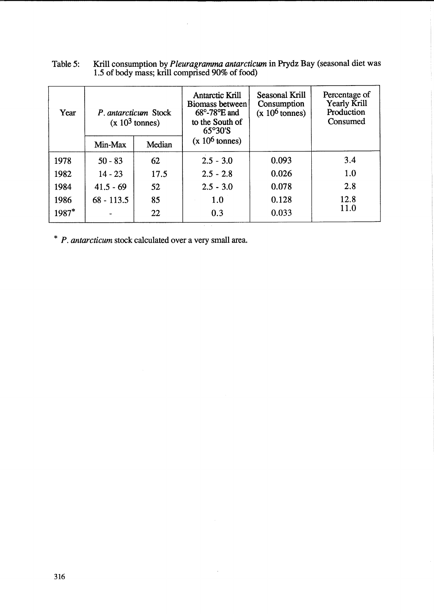| Year  | P. antarcticum Stock<br>$(x 103$ tonnes) |        | <b>Antarctic Krill</b><br>Biomass between<br>$68^\circ$ -78 $\mathrm{^{\circ}E}$ and<br>to the South of<br>65°30'S | Seasonal Krill<br>Consumption<br>$(x 10^6 \text{ tonnes})$ | Percentage of<br>Yearly Krill<br>Production<br>Consumed |
|-------|------------------------------------------|--------|--------------------------------------------------------------------------------------------------------------------|------------------------------------------------------------|---------------------------------------------------------|
|       | Min-Max                                  | Median | $(x 106$ tonnes)                                                                                                   |                                                            |                                                         |
| 1978  | $50 - 83$                                | 62     | $2.5 - 3.0$                                                                                                        | 0.093                                                      | 3.4                                                     |
| 1982  | $14 - 23$                                | 17.5   | $2.5 - 2.8$                                                                                                        | 0.026                                                      | 1.0                                                     |
| 1984  | $41.5 - 69$                              | 52     | $2.5 - 3.0$                                                                                                        | 0.078                                                      | 2.8                                                     |
| 1986  | $68 - 113.5$                             | 85     | 1.0                                                                                                                | 0.128                                                      | 12.8                                                    |
| 1987* |                                          | 22     | 0.3                                                                                                                | 0.033                                                      | 11.0                                                    |

 $\sim$ 

| Table 5: | Krill consumption by <i>Pleuragramma antarcticum</i> in Prydz Bay (seasonal diet was |
|----------|--------------------------------------------------------------------------------------|
|          | 1.5 of body mass; krill comprised 90% of food)                                       |

 $\mathcal{L}$ 

\* *P. antarcticum* stock calculated over a very small area.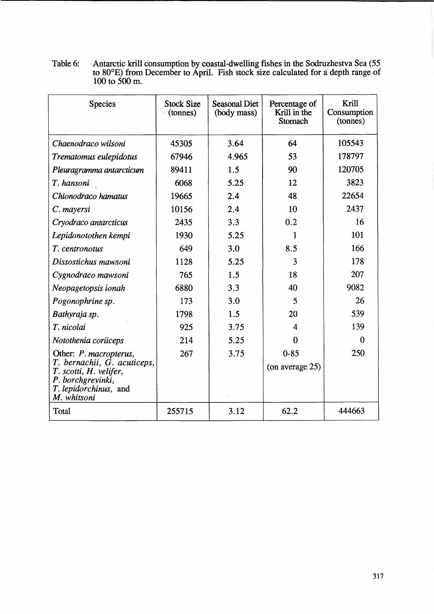Table 6: Antarctic krill consumption by coastal-dwelling fishes in the Sodruzhestva Sea (55 to 80<sup>o</sup>E) from December to April. Fish stock size calculated for a depth range of 100 to 500 m.

| <b>Species</b>                                                                                                                                       | <b>Stock Size</b><br>(tonnes) | <b>Seasonal Diet</b><br>(body mass) | Percentage of<br>Krill in the<br>Stomach | Krill<br>Consumption<br>(tonnes) |
|------------------------------------------------------------------------------------------------------------------------------------------------------|-------------------------------|-------------------------------------|------------------------------------------|----------------------------------|
| Chaenodraco wilsoni                                                                                                                                  | 45305                         | 3.64                                | 64                                       | 105543                           |
| Trematomus eulepidotus                                                                                                                               | 67946                         | 4.965                               | 53                                       | 178797                           |
| Pleuragramma antarcticum                                                                                                                             | 89411                         | 1.5                                 | 90                                       | 120705                           |
| T. hansoni                                                                                                                                           | 6068                          | 5.25                                | 12                                       | 3823                             |
| Chionodraco hamatus                                                                                                                                  | 19665                         | 2.4                                 | 48                                       | 22654                            |
| C. mayersi                                                                                                                                           | 10156                         | 2.4                                 | 10                                       | 2437                             |
| Cryodraco antarcticus                                                                                                                                | 2435                          | 3.3                                 | 0.2                                      | 16                               |
| Lepidonotothen kempi                                                                                                                                 | 1930                          | 5.25                                | 1                                        | 101                              |
| T. centronotus                                                                                                                                       | 649                           | 3.0                                 | 8.5                                      | 166                              |
| Dissostichus mawsoni                                                                                                                                 | 1128                          | 5.25                                | 3                                        | 178                              |
| Cygnodraco mawsoni                                                                                                                                   | 765                           | 1.5                                 | 18                                       | 207                              |
| Neopagetopsis ionah                                                                                                                                  | 6880                          | 3.3                                 | 40                                       | 9082                             |
| Pogonophrine sp.                                                                                                                                     | 173                           | 3.0                                 | 5                                        | 26                               |
| Bathyraja sp.                                                                                                                                        | 1798                          | 1.5                                 | 20                                       | 539                              |
| T. nicolai                                                                                                                                           | 925                           | 3.75                                | $\overline{4}$                           | 139                              |
| Notothenia coriiceps                                                                                                                                 | 214                           | 5.25                                | 0                                        | $\theta$                         |
| Other: <i>P. macropterus</i> ,<br>T. bernachii, G. acuticeps,<br>T. scotti, H. velifer,<br>P. borchgrevinki,<br>T. lepidorchinus, and<br>M. whitsoni | 267                           | 3.75                                | $0 - 85$<br>(on average 25)              | 250                              |
| Total                                                                                                                                                | 255715                        | 3.12                                | 62.2                                     | 444663                           |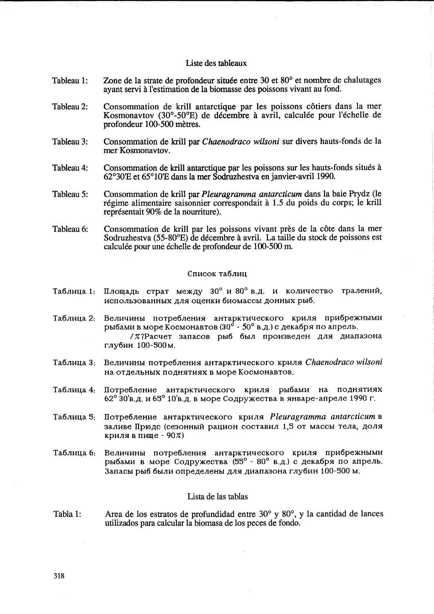### Liste des tableaux

- Tableau 1: Zone de la strate de profondeur située entre 30 et 80° et nombre de chalutages ayant servi a l'estimation de la biomasse des poissons vivant au fond.
- Tableau 2: Consommation de krill antarctique par les poissons côtiers dans la mer Kosmonavtov (30°-50°E) de décembre à avril, calculée pour l'échelle de profondeur 100-500 metres.
- Tableau 3: Consommation de krill par *Chaenodraco wilsoni* sur divers hauts-fonds de la mer Kosmonavtov.
- Tableau 4: Consommation de krill antarctique par les poissons sur les hauts-fonds situés à 62°30'E et 65°lO'E dans la mer Sodruzhestva en janvier-avriI1990.
- Tableau 5: Consommation de krill par *Pleuragramma antarcticum* dans la baie Prydz (le régime alimentaire saisonnier correspondait à 1.5 du poids du corps; le krill représentait 90% de la nourriture).
- Tableau 6: Consommation de krill par les poissons vivant près de la côte dans la mer Sodruzhestva (55-80<sup>0</sup> E) de decembre a avriI. La taille du stock de poissons est calculée pour une échelle de profondeur de 100-500 m.

#### Список таблиц

- Таблица 1: Площадь страт между 30° и 80° в.д. и количество тралений, использованных для оценки биомассы донных рыб.
- Таблица 2: Величины потребления антарктического криля прибрежными рыбами в море Космонавтов (30<sup>°</sup> - 50° в.д.) с декабря по апрель. / %? Расчет запасов рыб был произведен для диапазона глубин 100-500м.
- Ta6JIH~a 3: BeJIHqHHbI nOTpe6JIeHHSI aHTapKTHqeCKOrO KPHJISI *Chaenodraco wilsoni*  на отдельных поднятиях в море Космонавтов.
- Таблица 4: Потребление антарктического криля рыбами на поднятиях  $62^\circ$  30'в.д. и 65° 10'в.д. в море Содружества в январе-апреле 1990 г.
- Ta6JIH~a 5: IIoTpe6JIeHHe aHTapKTHqeCKOrO KPHJISI *Pleuragramma antarcticum* B заливе Прюдс (сезонный рацион составил 1,5 от массы тела, доля криля в пище -  $90\%$
- Таблица 6: Величины потребления антарктического криля прибрежными рыбами в море Содружества (55° - 80° в.д.) с декабря по апрель. Запасы рыб были определены для диапазона глубин 100-500 м.

### Lista de las tablas

Tabla 1: Area de los estratos de profundidad entre 30° y 80°, y la cantidad de lances utilizados para ca1cular la biomasa de los peces de fondo.